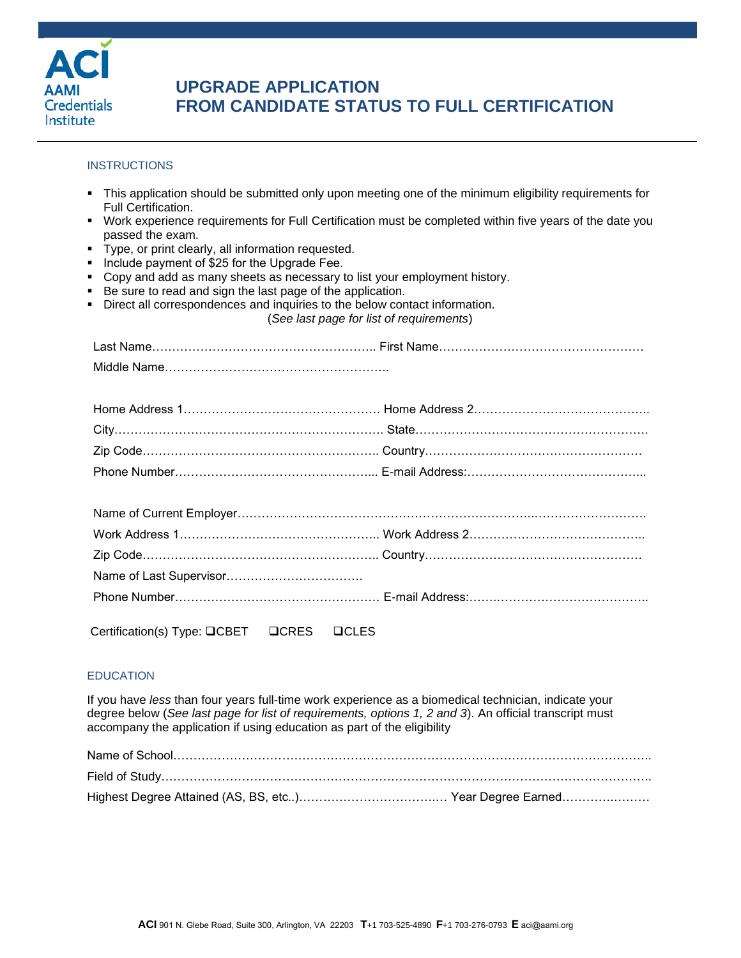

# **UPGRADE APPLICATION FROM CANDIDATE STATUS TO FULL CERTIFICATION**

### **INSTRUCTIONS**

- This application should be submitted only upon meeting one of the minimum eligibility requirements for Full Certification.
- Work experience requirements for Full Certification must be completed within five years of the date you passed the exam.
- Type, or print clearly, all information requested.
- **Include payment of \$25 for the Upgrade Fee.**
- Copy and add as many sheets as necessary to list your employment history.
- Be sure to read and sign the last page of the application.
- Direct all correspondences and inquiries to the below contact information.

|  |  |  |  | (See last page for list of requirements) |  |
|--|--|--|--|------------------------------------------|--|
|  |  |  |  |                                          |  |

Certification(s) Type: QCBET QCRES QCLES

### **EDUCATION**

If you have *less* than four years full-time work experience as a biomedical technician, indicate your degree below (*See last page for list of requirements, options 1, 2 and 3*). An official transcript must accompany the application if using education as part of the eligibility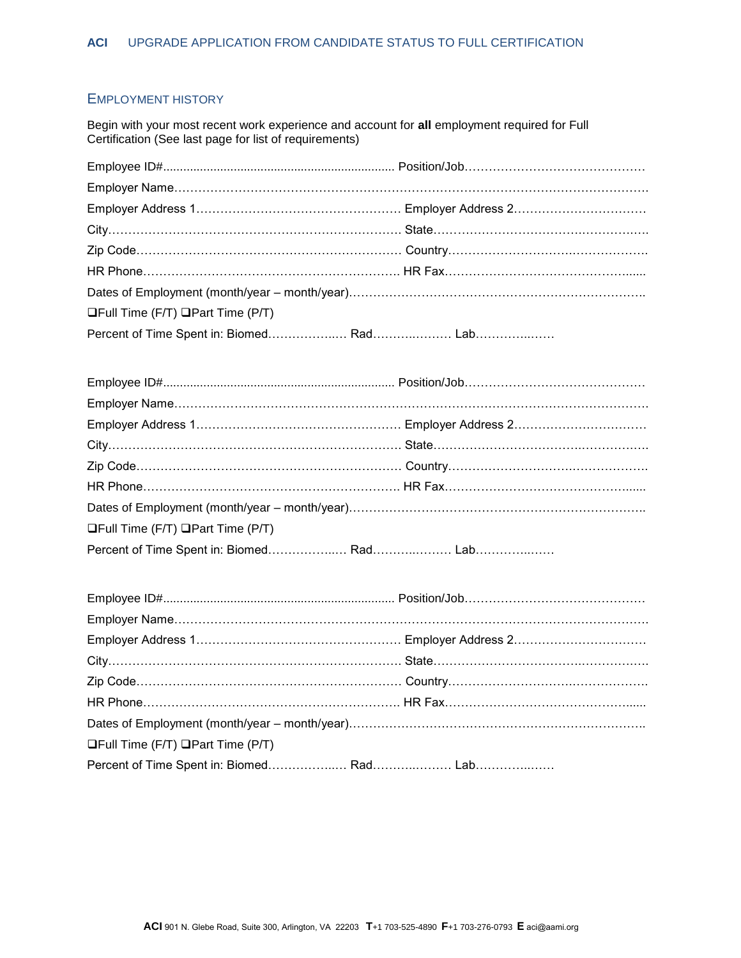### EMPLOYMENT HISTORY

Begin with your most recent work experience and account for **all** employment required for Full Certification (See last page for list of requirements)

| $\Box$ Full Time (F/T) $\Box$ Part Time (P/T) |  |
|-----------------------------------------------|--|
|                                               |  |

| $\Box$ Full Time (F/T) $\Box$ Part Time (P/T) |  |
|-----------------------------------------------|--|
|                                               |  |

| $\Box$ Full Time (F/T) $\Box$ Part Time (P/T) |  |
|-----------------------------------------------|--|
|                                               |  |